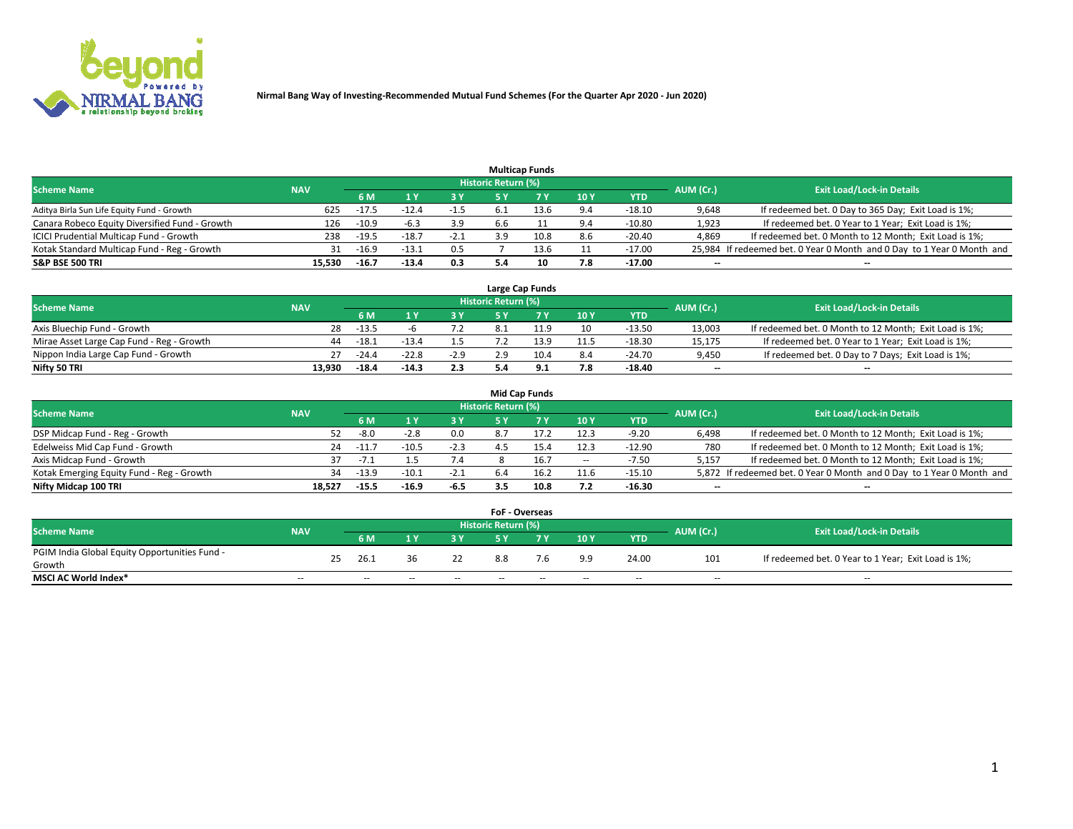

|                                                |            |         |         |        |                     | <b>Multicap Funds</b> |                 |          |           |                                                                        |
|------------------------------------------------|------------|---------|---------|--------|---------------------|-----------------------|-----------------|----------|-----------|------------------------------------------------------------------------|
| <b>Scheme Name</b>                             | <b>NAV</b> |         |         |        | Historic Return (%) |                       |                 |          | AUM (Cr.) | <b>Exit Load/Lock-in Details</b>                                       |
|                                                |            | 6 M     |         |        |                     |                       | 10 <sub>1</sub> | YTD      |           |                                                                        |
| Aditya Birla Sun Life Equity Fund - Growth     | 625        | $-17.5$ |         | $-1.5$ |                     |                       | 9.4             | $-18.10$ | 9,648     | If redeemed bet. 0 Day to 365 Day; Exit Load is 1%;                    |
| Canara Robeco Equity Diversified Fund - Growth | 126        | $-10.9$ | $-6.3$  | 3.9    | 6.6                 |                       | 9.4             | $-10.80$ | 1,923     | If redeemed bet. 0 Year to 1 Year; Exit Load is 1%;                    |
| ICICI Prudential Multicap Fund - Growth        | 238        | $-19.5$ | $-18.7$ | $-2.1$ | 3 Q                 | 10.8                  | 8.6             | $-20.40$ | 4,869     | If redeemed bet. 0 Month to 12 Month; Exit Load is 1%;                 |
| Kotak Standard Multicap Fund - Reg - Growth    | 31         | $-16.9$ | $-13.3$ | 0.5    |                     | 13.6                  |                 | $-17.00$ |           | 25,984 If redeemed bet. 0 Year 0 Month and 0 Day to 1 Year 0 Month and |
| <b>S&amp;P BSE 500 TRI</b>                     | 15.530     | $-16.7$ | $-13.4$ | 0.3    |                     | 10                    | 7.8             | $-17.00$ | $-$       | $\overline{\phantom{a}}$                                               |

|                                           |            |         |         |        |                     | Large Cap Funds |            |          |                          |                                                        |
|-------------------------------------------|------------|---------|---------|--------|---------------------|-----------------|------------|----------|--------------------------|--------------------------------------------------------|
| <b>Scheme Name</b>                        | <b>NAV</b> |         |         |        | Historic Return (%) |                 |            |          | AUM (Cr.)                | <b>Exit Load/Lock-in Details</b>                       |
|                                           |            | 6 M     |         | 3 Y    |                     |                 | <b>10Y</b> | YTD      |                          |                                                        |
| Axis Bluechip Fund - Growth               | 28         | $-13.5$ |         |        |                     |                 | 10         | $-13.50$ | 13,003                   | If redeemed bet. 0 Month to 12 Month; Exit Load is 1%; |
| Mirae Asset Large Cap Fund - Reg - Growth | 44         | $-18.1$ | $-13.4$ |        |                     | 13.9            | 11.5       | $-18.30$ | 15,175                   | If redeemed bet. 0 Year to 1 Year; Exit Load is 1%;    |
| Nippon India Large Cap Fund - Growth      | 27         | $-24.4$ | $-22.8$ | $-2.9$ |                     | 10.4            | 8.4        | $-24.70$ | 9,450                    | If redeemed bet. 0 Day to 7 Days; Exit Load is 1%;     |
| Nifty 50 TRI                              | 13.930     | $-18.4$ | $-14.3$ | 2.3    |                     |                 | 7.8        | -18.40   | $\overline{\phantom{a}}$ | $\overline{\phantom{a}}$                               |

|                                           |            |         |         |        |                     | <b>Mid Cap Funds</b> |                          |            |                          |                                                                       |
|-------------------------------------------|------------|---------|---------|--------|---------------------|----------------------|--------------------------|------------|--------------------------|-----------------------------------------------------------------------|
| <b>Scheme Name</b>                        | <b>NAV</b> |         |         |        | Historic Return (%) |                      |                          |            | AUM (Cr.)                | <b>Exit Load/Lock-in Details</b>                                      |
|                                           |            | 6 M     |         | 3 Y    |                     |                      | 10Y                      | <b>YTD</b> |                          |                                                                       |
| DSP Midcap Fund - Reg - Growth            | 52.        | -8.0    | $-2.8$  | 0.0    | 8.7                 |                      | 12.3                     | $-9.20$    | 6.498                    | If redeemed bet. 0 Month to 12 Month; Exit Load is 1%;                |
| Edelweiss Mid Cap Fund - Growth           | 24         | $-11.$  | $-10.5$ | $-2.3$ |                     |                      | 12.3                     | $-12.90$   | 780                      | If redeemed bet. 0 Month to 12 Month; Exit Load is 1%;                |
| Axis Midcap Fund - Growth                 |            | -7.1    |         | 7.4    |                     | 16.                  | $\overline{\phantom{a}}$ | $-7.50$    | 5.157                    | If redeemed bet. 0 Month to 12 Month; Exit Load is 1%;                |
| Kotak Emerging Equity Fund - Reg - Growth | 34         | $-13.9$ | $-10.1$ | $-2.1$ | 6.4                 |                      | 11.6                     | $-15.10$   |                          | 5,872 If redeemed bet. 0 Year 0 Month and 0 Day to 1 Year 0 Month and |
| Nifty Midcap 100 TRI                      | 18.527     | $-15.5$ | $-16.9$ | $-6.5$ |                     | 10.8                 | 7.2                      | $-16.30$   | $\overline{\phantom{a}}$ | $\overline{\phantom{a}}$                                              |

|                                               |            |     |      |     |     | <b>FoF - Overseas</b>      |     |     |            |           |                                                     |
|-----------------------------------------------|------------|-----|------|-----|-----|----------------------------|-----|-----|------------|-----------|-----------------------------------------------------|
| <b>Scheme Name</b>                            | <b>NAV</b> |     |      |     |     | <b>Historic Return (%)</b> |     |     |            | AUM (Cr.) | <b>Exit Load/Lock-in Details</b>                    |
|                                               |            |     | 6 M  |     |     |                            |     | 10Y | <b>YTD</b> |           |                                                     |
| PGIM India Global Equity Opportunities Fund - |            | 25. | 26.1 |     | 22  | 8.8                        |     | 9.9 | 24.00      | 101       | If redeemed bet. 0 Year to 1 Year; Exit Load is 1%; |
| Growth                                        |            |     |      |     |     |                            |     |     |            |           |                                                     |
| <b>MSCI AC World Index*</b>                   | $- -$      |     | $-$  | $-$ | $-$ | --                         | $-$ | $-$ | $-$        | $-$       | $-$                                                 |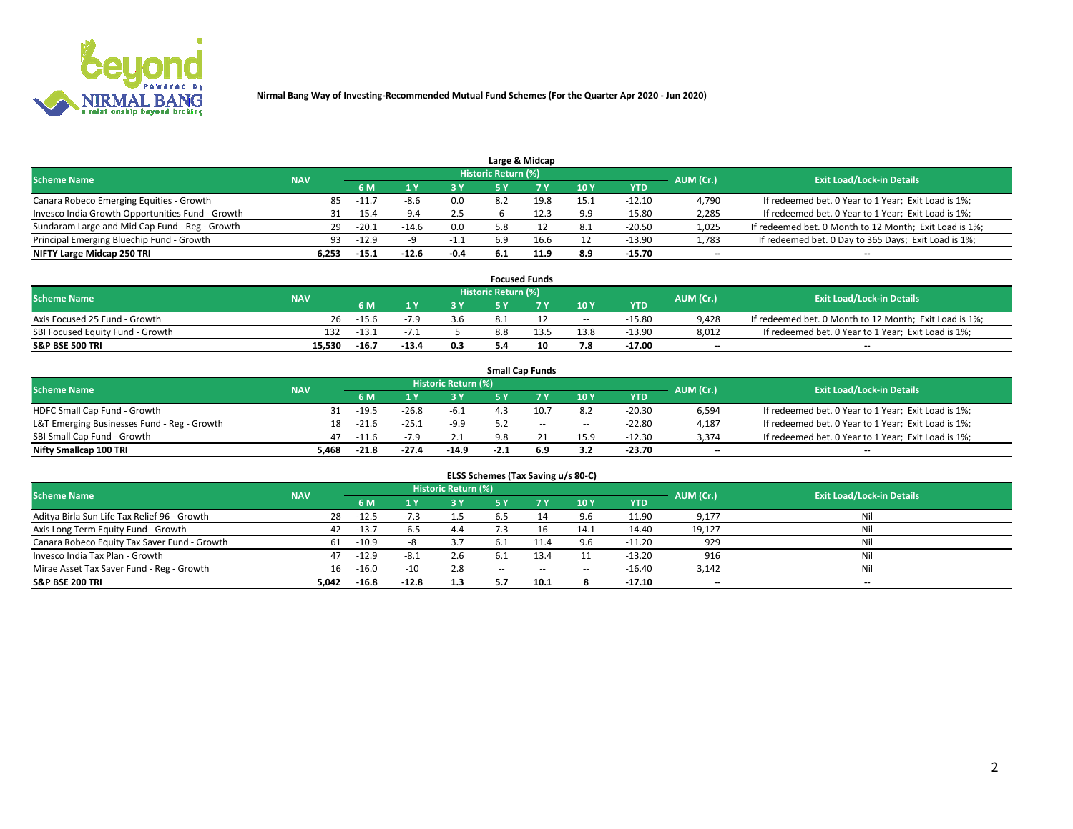

|                                                  |            |         |         |        |                            | Large & Midcap |      |            |           |                                                        |
|--------------------------------------------------|------------|---------|---------|--------|----------------------------|----------------|------|------------|-----------|--------------------------------------------------------|
| <b>Scheme Name</b>                               | <b>NAV</b> |         |         |        | <b>Historic Return (%)</b> |                |      |            | AUM (Cr.) | <b>Exit Load/Lock-in Details</b>                       |
|                                                  |            | 6 M     |         | 3 Y    |                            |                | 10Y  | <b>YTD</b> |           |                                                        |
| Canara Robeco Emerging Equities - Growth         | 85         | $-11.7$ | -8.6    | 0.0    |                            | 19.8           | 15.1 | $-12.10$   | 4,790     | If redeemed bet. 0 Year to 1 Year; Exit Load is 1%;    |
| Invesco India Growth Opportunities Fund - Growth |            | $-15.4$ | -9.4    | 2.5    |                            |                | 9.9  | $-15.80$   | 2,285     | If redeemed bet. 0 Year to 1 Year; Exit Load is 1%;    |
| Sundaram Large and Mid Cap Fund - Reg - Growth   | 29         | $-20.1$ | $-14.6$ | 0.0    | 5.8                        |                | 8.1  | $-20.50$   | 1,025     | If redeemed bet. 0 Month to 12 Month; Exit Load is 1%; |
| Principal Emerging Bluechip Fund - Growth        | 93         | $-12.9$ |         | -1.1   | 6.9                        | 16.6           | 12   | -13.90     | 1,783     | If redeemed bet. 0 Day to 365 Days; Exit Load is 1%;   |
| NIFTY Large Midcap 250 TRI                       | 6.253      | $-15.1$ | $-12.6$ | $-0.4$ |                            | 11.9           | 8.9  | $-15.70$   | $- -$     | --                                                     |

|                                  |            |         |         |     |                     | <b>Focused Funds</b> |        |          |           |                                                        |
|----------------------------------|------------|---------|---------|-----|---------------------|----------------------|--------|----------|-----------|--------------------------------------------------------|
| <b>Scheme Name</b>               | <b>NAV</b> |         |         |     | Historic Return (%) |                      |        |          | AUM (Cr.) | <b>Exit Load/Lock-in Details</b>                       |
|                                  |            | 6 M     |         | 2 V |                     |                      | 10Y    | YTD      |           |                                                        |
| Axis Focused 25 Fund - Growth    | 26.        | $-15.6$ |         | 3.6 |                     |                      | $\sim$ | $-15.80$ | 9.428     | If redeemed bet. 0 Month to 12 Month; Exit Load is 1%; |
| SBI Focused Equity Fund - Growth | 132        | $-13.7$ |         |     |                     |                      | 13.8   | $-13.90$ | 8,012     | If redeemed bet. 0 Year to 1 Year; Exit Load is 1%;    |
| <b>S&amp;P BSE 500 TRI</b>       | 15.530     | $-16.7$ | $-13.4$ | 0.3 | 5.4                 |                      | 7.8    | $-17.00$ | $- -$     | $\overline{\phantom{a}}$                               |

|                                             |            |                                  |         |         |        | <b>Small Cap Funds</b> |                          |          |                          |                                                     |
|---------------------------------------------|------------|----------------------------------|---------|---------|--------|------------------------|--------------------------|----------|--------------------------|-----------------------------------------------------|
| <b>Scheme Name</b>                          | AUM (Cr.)  | <b>Exit Load/Lock-in Details</b> |         |         |        |                        |                          |          |                          |                                                     |
|                                             | <b>NAV</b> | 6 M                              |         | 3 Y     |        |                        | 10Y                      | YTD      |                          |                                                     |
| HDFC Small Cap Fund - Growth                |            | $-19.5$                          | $-26.8$ | $-6.1$  |        |                        | 8.2                      | $-20.30$ | 6,594                    | If redeemed bet. 0 Year to 1 Year; Exit Load is 1%; |
| L&T Emerging Businesses Fund - Reg - Growth | 18         | $-21.6$                          | $-25.1$ | $-9.9$  |        | $\sim$                 | $\overline{\phantom{a}}$ | $-22.80$ | 4,187                    | If redeemed bet. 0 Year to 1 Year; Exit Load is 1%; |
| SBI Small Cap Fund - Growth                 | 47         | $-11.6$                          | $-7.9$  |         | 9.8    |                        | 15.9                     | $-12.30$ | 3,374                    | If redeemed bet. 0 Year to 1 Year; Exit Load is 1%; |
| Nifty Smallcap 100 TRI                      | 5.468      | $-21.8$                          | $-27.4$ | $-14.9$ | $-2.1$ | 6.9                    | 3.2                      | $-23.70$ | $\overline{\phantom{a}}$ | $\overline{\phantom{a}}$                            |

| ELSS Schemes (Tax Saving u/s 80-C)           |                                                                                                          |         |         |      |        |            |        |            |        |                          |  |  |  |  |  |
|----------------------------------------------|----------------------------------------------------------------------------------------------------------|---------|---------|------|--------|------------|--------|------------|--------|--------------------------|--|--|--|--|--|
|                                              | Historic Return (%)<br><b>Scheme Name</b><br><b>NAV</b><br><b>Exit Load/Lock-in Details</b><br>AUM (Cr.) |         |         |      |        |            |        |            |        |                          |  |  |  |  |  |
|                                              |                                                                                                          | 6 M     |         | -3 Y |        | <b>7 Y</b> | 10Y    | <b>YTD</b> |        |                          |  |  |  |  |  |
| Aditya Birla Sun Life Tax Relief 96 - Growth | 28                                                                                                       | $-12.5$ |         | 1.5  | 6.5    |            | 9.6    | $-11.90$   | 9,177  | Nil                      |  |  |  |  |  |
| Axis Long Term Equity Fund - Growth          | 42                                                                                                       | $-13.7$ | -ხ.5    | 4.4  |        |            | 14.1   | $-14.40$   | 19,127 | Nil                      |  |  |  |  |  |
| Canara Robeco Equity Tax Saver Fund - Growth | 61                                                                                                       | $-10.9$ |         | 3.7  | -6.1   |            | 9.6    | $-11.20$   | 929    | Nil                      |  |  |  |  |  |
| Invesco India Tax Plan - Growth              | 47                                                                                                       | $-12.9$ | -8.1    | 2.6  | -6.1   |            | 11     | $-13.20$   | 916    | Nil                      |  |  |  |  |  |
| Mirae Asset Tax Saver Fund - Reg - Growth    | 16                                                                                                       | $-16.0$ | $-10$   | 2.8  | $\sim$ | $\sim$     | $\sim$ | $-16.40$   | 3,142  | Nil                      |  |  |  |  |  |
| <b>S&amp;P BSE 200 TRI</b>                   | 5,042                                                                                                    | $-16.8$ | $-12.8$ | 1.3  | 5.7    | 10.1       |        | $-17.10$   | $- -$  | $\overline{\phantom{a}}$ |  |  |  |  |  |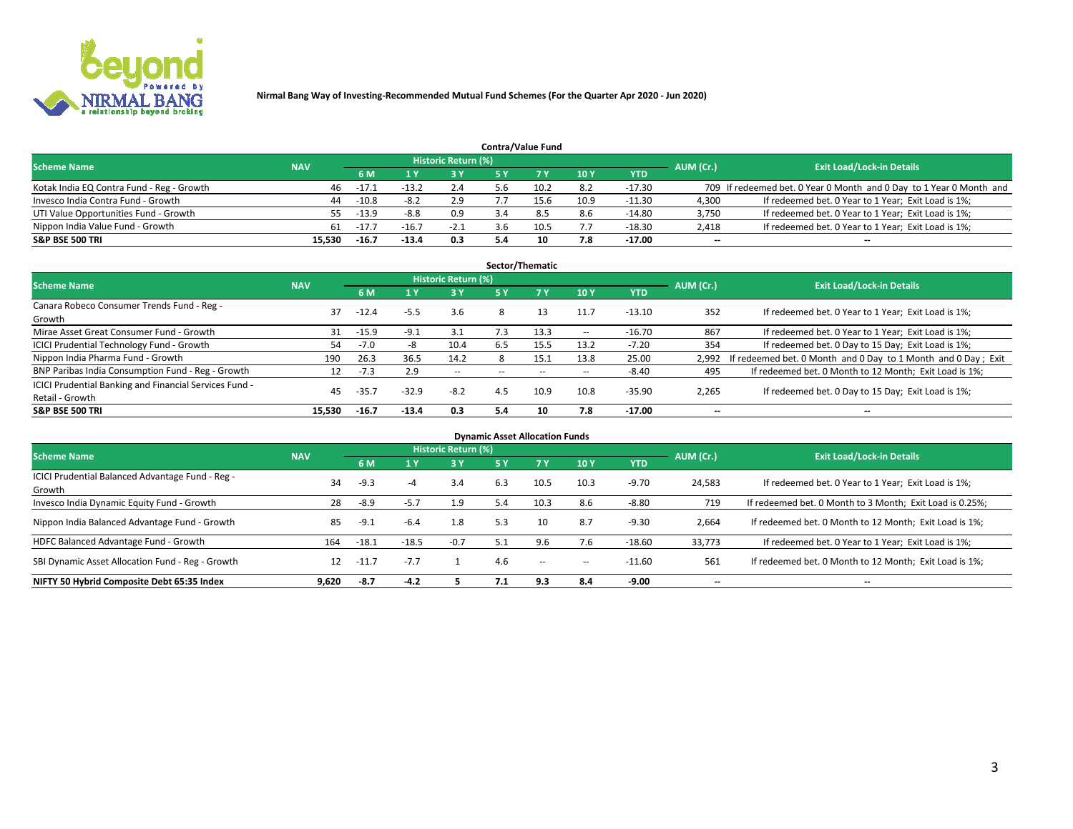

|                                           |            |         |         |                     |     | <b>Contra/Value Fund</b> |      |            |                          |                                                                     |
|-------------------------------------------|------------|---------|---------|---------------------|-----|--------------------------|------|------------|--------------------------|---------------------------------------------------------------------|
| <b>Scheme Name</b>                        | <b>NAV</b> |         |         | Historic Return (%) |     |                          |      |            | AUM (Cr.)                | <b>Exit Load/Lock-in Details</b>                                    |
|                                           |            | 6 M     |         | 73 Y                | 5 Y | <b>7Y</b>                | 10Y  | <b>YTD</b> |                          |                                                                     |
| Kotak India EQ Contra Fund - Reg - Growth | 46         | $-17.1$ | $-13.2$ | 2.4                 | 5.6 | 10.2                     | 8.2  | $-17.30$   |                          | 709 If redeemed bet. 0 Year 0 Month and 0 Day to 1 Year 0 Month and |
| Invesco India Contra Fund - Growth        | 44         | $-10.8$ | $-8.2$  | 2.9                 |     | 15.6                     | 10.9 | $-11.30$   | 4,300                    | If redeemed bet. 0 Year to 1 Year; Exit Load is 1%;                 |
| UTI Value Opportunities Fund - Growth     | 55. .      | -13.9   | $-8.8$  | 0.9                 |     | 8.5                      | 8.6  | $-14.80$   | 3,750                    | If redeemed bet. 0 Year to 1 Year; Exit Load is 1%;                 |
| Nippon India Value Fund - Growth          | 61         | $-17.7$ | $-16.7$ | $-2.1$              | 5.6 | 10.5                     |      | $-18.30$   | 2,418                    | If redeemed bet. 0 Year to 1 Year; Exit Load is 1%;                 |
| <b>S&amp;P BSE 500 TRI</b>                | 15.530     | $-16.7$ | $-13.4$ | 0.3                 | 5.4 | 10                       | 7.8  | $-17.00$   | $\overline{\phantom{a}}$ | $\overline{\phantom{a}}$                                            |

| Sector/Thematic                                        |            |         |         |                            |      |      |        |          |           |                                                               |  |  |  |
|--------------------------------------------------------|------------|---------|---------|----------------------------|------|------|--------|----------|-----------|---------------------------------------------------------------|--|--|--|
| <b>Scheme Name</b>                                     | <b>NAV</b> |         |         | <b>Historic Return (%)</b> |      |      |        |          | AUM (Cr.) | <b>Exit Load/Lock-in Details</b>                              |  |  |  |
|                                                        |            | 6 M     |         | 3 Y                        | 5 Y  |      | 10Y    | YTD      |           |                                                               |  |  |  |
| Canara Robeco Consumer Trends Fund - Reg -             | 37         | $-12.4$ | $-5.5$  | 3.6                        | 8    | 13   | 11.7   | $-13.10$ | 352       | If redeemed bet. 0 Year to 1 Year; Exit Load is 1%;           |  |  |  |
| Growth                                                 |            |         |         |                            |      |      |        |          |           |                                                               |  |  |  |
| Mirae Asset Great Consumer Fund - Growth               | 31         | $-15.9$ | $-9.1$  | 3.1                        | / .3 | 13.3 | $\sim$ | $-16.70$ | 867       | If redeemed bet. 0 Year to 1 Year; Exit Load is 1%;           |  |  |  |
| <b>ICICI Prudential Technology Fund - Growth</b>       | 54         | -7.0    |         | 10.4                       | 6.5  | 15.5 | 13.2   | $-7.20$  | 354       | If redeemed bet. 0 Day to 15 Day; Exit Load is 1%;            |  |  |  |
| Nippon India Pharma Fund - Growth                      | 190        | 26.3    | 36.5    | 14.2                       |      | 15.1 | 13.8   | 25.00    | 2,992     | If redeemed bet. 0 Month and 0 Day to 1 Month and 0 Day; Exit |  |  |  |
| BNP Paribas India Consumption Fund - Reg - Growth      | 12         | $-7.3$  | 2.9     | $\sim$                     |      |      | $\sim$ | $-8.40$  | 495       | If redeemed bet. 0 Month to 12 Month; Exit Load is 1%;        |  |  |  |
| ICICI Prudential Banking and Financial Services Fund - | 45         | $-35.7$ | $-32.9$ | $-8.2$                     | 4.5  | 10.9 | 10.8   | $-35.90$ | 2,265     | If redeemed bet. 0 Day to 15 Day; Exit Load is 1%;            |  |  |  |
| Retail - Growth                                        |            |         |         |                            |      |      |        |          |           |                                                               |  |  |  |
| <b>S&amp;P BSE 500 TRI</b>                             | 15.530     | $-16.7$ | $-13.4$ | 0.3                        | 5.4  | 10   | 7.8    | $-17.00$ | $- -$     | $\overline{\phantom{a}}$                                      |  |  |  |

|                                                            |            |         |         |                            |     | <b>Dynamic Asset Allocation Funds</b> |        |          |                          |                                                          |
|------------------------------------------------------------|------------|---------|---------|----------------------------|-----|---------------------------------------|--------|----------|--------------------------|----------------------------------------------------------|
| <b>Scheme Name</b>                                         | <b>NAV</b> |         |         | <b>Historic Return (%)</b> |     |                                       |        |          | AUM (Cr.)                | <b>Exit Load/Lock-in Details</b>                         |
|                                                            |            | 6 M     |         | 3 Y                        | 5 Y |                                       | 10Y    | YTD      |                          |                                                          |
| ICICI Prudential Balanced Advantage Fund - Reg -<br>Growth | 34         | $-9.3$  | -4      | 3.4                        | 6.3 | 10.5                                  | 10.3   | $-9.70$  | 24,583                   | If redeemed bet. 0 Year to 1 Year; Exit Load is 1%;      |
| Invesco India Dynamic Equity Fund - Growth                 | 28         | -8.9    | $-5.7$  | 1.9                        | 5.4 | 10.3                                  | 8.6    | $-8.80$  | 719                      | If redeemed bet. 0 Month to 3 Month; Exit Load is 0.25%; |
| Nippon India Balanced Advantage Fund - Growth              | 85         | $-9.1$  | $-6.4$  | 1.8                        | 5.3 | 10                                    | 8.7    | $-9.30$  | 2,664                    | If redeemed bet. 0 Month to 12 Month; Exit Load is 1%;   |
| HDFC Balanced Advantage Fund - Growth                      | 164        | $-18.1$ | $-18.5$ | $-0.7$                     |     | 9.6                                   | 7.6    | $-18.60$ | 33,773                   | If redeemed bet. 0 Year to 1 Year; Exit Load is 1%;      |
| SBI Dynamic Asset Allocation Fund - Reg - Growth           | 12         | $-11.7$ | $-7.7$  |                            | 4.6 | $\sim$                                | $\sim$ | $-11.60$ | 561                      | If redeemed bet. 0 Month to 12 Month; Exit Load is 1%;   |
| NIFTY 50 Hybrid Composite Debt 65:35 Index                 | 9,620      | $-8.7$  | $-4.2$  |                            | 7.1 | 9.3                                   | 8.4    | $-9.00$  | $\overline{\phantom{a}}$ | $\overline{\phantom{a}}$                                 |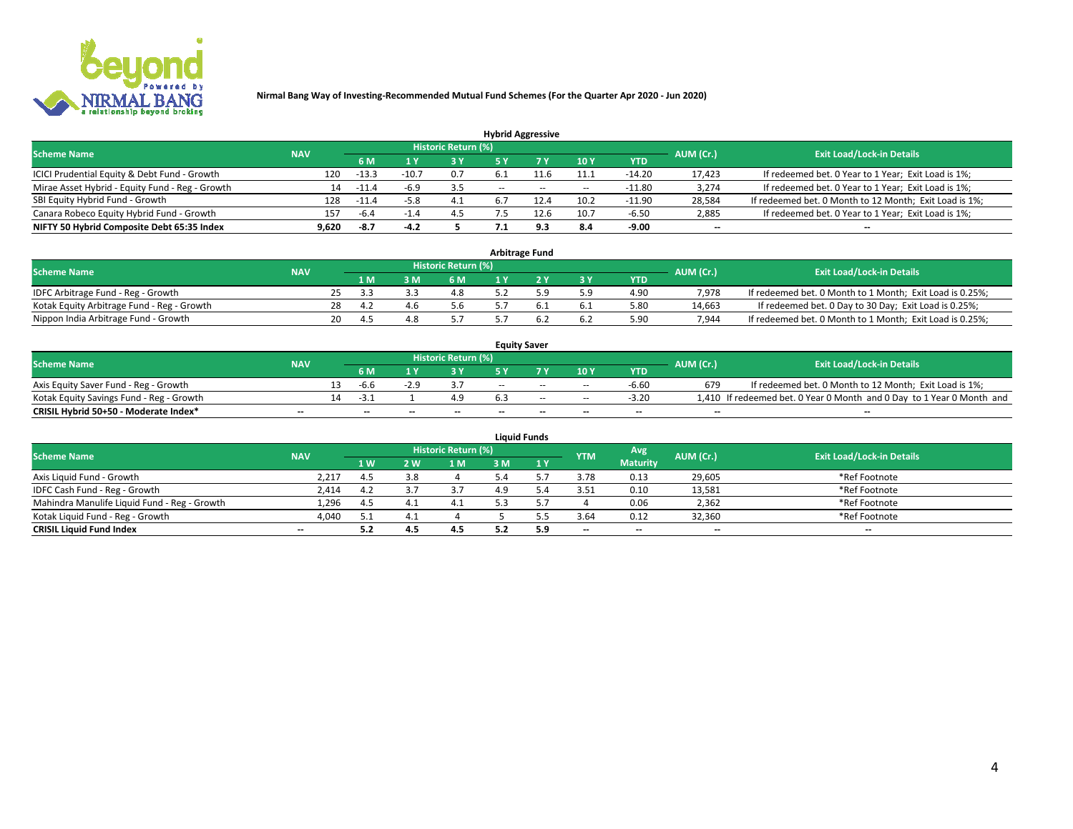

| <b>Hybrid Aggressive</b>                        |            |         |        |                     |        |        |        |            |           |                                                        |  |  |  |
|-------------------------------------------------|------------|---------|--------|---------------------|--------|--------|--------|------------|-----------|--------------------------------------------------------|--|--|--|
| <b>Scheme Name</b>                              | <b>NAV</b> |         |        | Historic Return (%) |        |        |        |            | AUM (Cr.) | <b>Exit Load/Lock-in Details</b>                       |  |  |  |
|                                                 |            | 6 M     |        | <b>3Y</b>           |        |        | 10Y    | <b>YTD</b> |           |                                                        |  |  |  |
| ICICI Prudential Equity & Debt Fund - Growth    | 120        | $-13.3$ | -10.   | 0.7                 | 6.1    |        | 11.1   | $-14.20$   | 17.423    | If redeemed bet. 0 Year to 1 Year; Exit Load is 1%;    |  |  |  |
| Mirae Asset Hybrid - Equity Fund - Reg - Growth | 14         | $-11.4$ | -6.9   | 3.5                 | $\sim$ | $\sim$ | $\sim$ | $-11.80$   | 3,274     | If redeemed bet. 0 Year to 1 Year; Exit Load is 1%;    |  |  |  |
| SBI Equity Hybrid Fund - Growth                 | 128        | $-11.4$ | -5.8   | 4.1                 | ь.     |        | 10.2   | $-11.90$   | 28,584    | If redeemed bet. 0 Month to 12 Month; Exit Load is 1%; |  |  |  |
| Canara Robeco Equity Hybrid Fund - Growth       | 157        | -6.4    |        | 4.3                 |        | 12.6   | 10.7   | $-6.50$    | 2,885     | If redeemed bet. 0 Year to 1 Year; Exit Load is 1%;    |  |  |  |
| NIFTY 50 Hybrid Composite Debt 65:35 Index      | 9.620      | -8.7    | $-4.2$ |                     |        | 9.3    | 8.4    | -9.00      | --        | $\overline{\phantom{a}}$                               |  |  |  |

|                                            |            |    |     |                            | <b>Arbitrage Fund</b> |           |            |           |                                                          |
|--------------------------------------------|------------|----|-----|----------------------------|-----------------------|-----------|------------|-----------|----------------------------------------------------------|
| <b>Scheme Name</b>                         | <b>NAV</b> |    |     | <b>Historic Return (%)</b> |                       |           |            | AUM (Cr.) | <b>Exit Load/Lock-in Details</b>                         |
|                                            |            |    | 1 M | 6 M                        |                       | <b>3Y</b> | <b>YTD</b> |           |                                                          |
| IDFC Arbitrage Fund - Reg - Growth         |            |    | 33  | 4.8                        | . a                   | 5.9       | 4.90       | 7.978     | If redeemed bet. 0 Month to 1 Month; Exit Load is 0.25%; |
| Kotak Equity Arbitrage Fund - Reg - Growth |            | 28 | 4.2 | 5.6                        |                       | -6.1      | 5.80       | 14,663    | If redeemed bet. 0 Day to 30 Day; Exit Load is 0.25%;    |
| Nippon India Arbitrage Fund - Growth       |            | 20 | 4.5 |                            |                       | 6.2       | 5.90       | 7.944     | If redeemed bet. 0 Month to 1 Month; Exit Load is 0.25%; |

|                                          |                          |     |                          |    |                          |     | <b>Equity Saver</b> |       |                          |                          |                                                                       |
|------------------------------------------|--------------------------|-----|--------------------------|----|--------------------------|-----|---------------------|-------|--------------------------|--------------------------|-----------------------------------------------------------------------|
| <b>Scheme Name</b>                       | <b>NAV</b>               |     |                          |    | Historic Return (%)      |     |                     |       |                          | AUM (Cr.)                | <b>Exit Load/Lock-in Details</b>                                      |
|                                          |                          |     | 6 M                      |    |                          |     |                     | 10Y   | <b>YTD</b>               |                          |                                                                       |
| Axis Equity Saver Fund - Reg - Growth    |                          | 13. | -6.6                     |    |                          | $-$ | $-$                 | $-$   | $-6.60$                  | 679                      | If redeemed bet. 0 Month to 12 Month; Exit Load is 1%;                |
| Kotak Equity Savings Fund - Reg - Growth |                          |     | -31                      |    | 4.9                      |     | $-$                 | $- -$ | $-3.20$                  |                          | 1,410 If redeemed bet. 0 Year 0 Month and 0 Day to 1 Year 0 Month and |
| CRISIL Hybrid 50+50 - Moderate Index*    | $\overline{\phantom{a}}$ |     | $\overline{\phantom{a}}$ | -- | $\overline{\phantom{a}}$ | $-$ | --                  | $-$   | $\overline{\phantom{a}}$ | $\overline{\phantom{a}}$ | $\overline{\phantom{a}}$                                              |

|                                              |                          |     |     |                     |     | <b>Liquid Funds</b> |                          |                          |           |                                  |
|----------------------------------------------|--------------------------|-----|-----|---------------------|-----|---------------------|--------------------------|--------------------------|-----------|----------------------------------|
| <b>Scheme Name</b>                           | <b>NAV</b>               |     |     | Historic Return (%) |     |                     | <b>YTM</b>               | Avg                      | AUM (Cr.) | <b>Exit Load/Lock-in Details</b> |
|                                              |                          | 1W  | 2 W | 1 <sub>N</sub>      |     | 1 Y                 |                          | <b>Maturity</b>          |           |                                  |
| Axis Liquid Fund - Growth                    | 2,217                    | 4.5 | 3.8 |                     |     |                     | 3.78                     | 0.13                     | 29,605    | *Ref Footnote                    |
| IDFC Cash Fund - Reg - Growth                | 2,414                    | 4.2 |     | 3.7                 | 4.9 |                     | 3.51                     | 0.10                     | 13,581    | *Ref Footnote                    |
| Mahindra Manulife Liquid Fund - Reg - Growth | 1,296                    | 4.5 |     |                     |     |                     |                          | 0.06                     | 2,362     | *Ref Footnote                    |
| Kotak Liguid Fund - Reg - Growth             | 4,040                    | 5.1 |     |                     |     |                     | 3.64                     | 0.12                     | 32,360    | *Ref Footnote                    |
| <b>CRISIL Liquid Fund Index</b>              | $\overline{\phantom{a}}$ | 5.2 |     | 4.5                 |     | 5.9                 | $\overline{\phantom{a}}$ | $\overline{\phantom{a}}$ | $-$       | $- -$                            |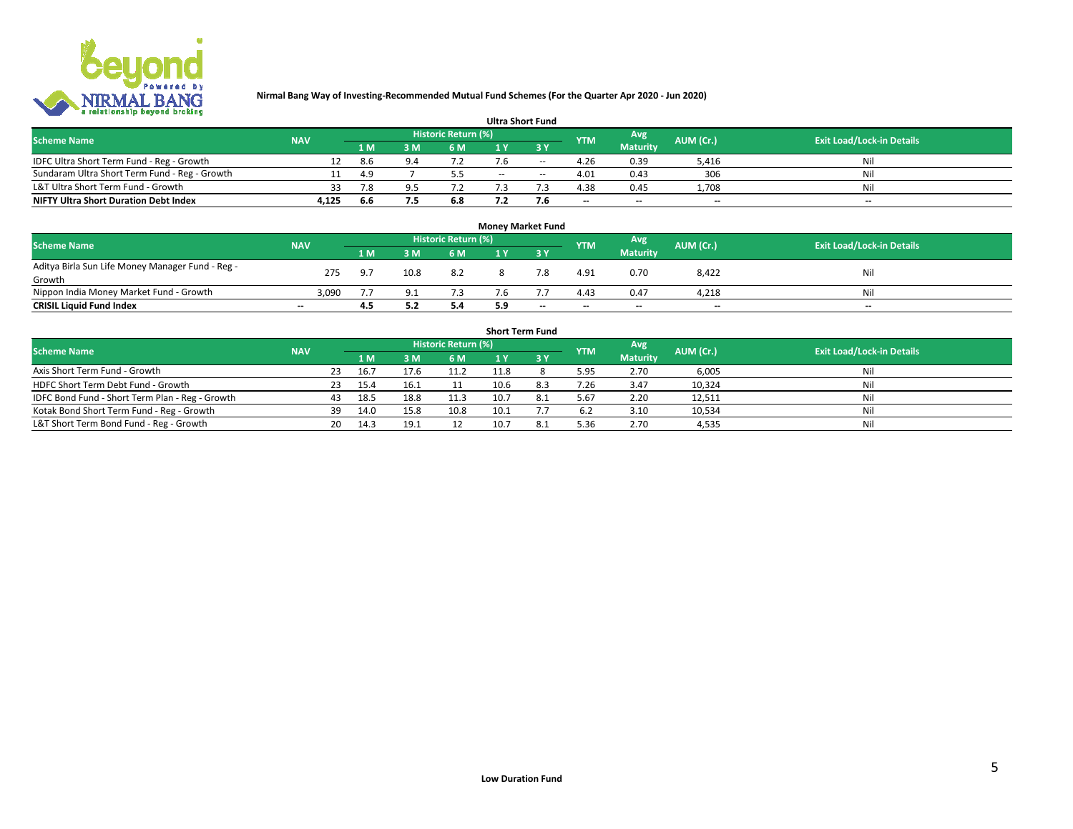

| __                                            |            |     |     |                     |     | <b>Ultra Short Fund</b> |                          |                 |           |                                  |
|-----------------------------------------------|------------|-----|-----|---------------------|-----|-------------------------|--------------------------|-----------------|-----------|----------------------------------|
| <b>Scheme Name</b>                            | <b>NAV</b> |     |     | Historic Return (%) |     |                         | <b>YTM</b>               | Avg             | AUM (Cr.) | <b>Exit Load/Lock-in Details</b> |
|                                               |            | 1 M | 3 M | 6 M                 |     | 2 V                     |                          | <b>Maturity</b> |           |                                  |
| IDFC Ultra Short Term Fund - Reg - Growth     |            | 8.6 |     |                     |     | $\!-$                   | 4.26                     | 0.39            | 5,416     | Nil                              |
| Sundaram Ultra Short Term Fund - Reg - Growth |            | 4.9 |     | 5.5                 | $-$ | $\sim$                  | 4.01                     | 0.43            | 306       | Nil                              |
| L&T Ultra Short Term Fund - Growth            | 33.        | 7.8 |     |                     |     |                         | 4.38                     | 0.45            | 1,708     | Nil                              |
| <b>NIFTY Ultra Short Duration Debt Index</b>  | 4,125      | 6.6 |     | 6.8                 |     |                         | $\overline{\phantom{a}}$ | $-$             | $- -$     | $- -$                            |

| <b>Money Market Fund</b>                         |            |       |      |                            |     |                          |                          |                 |                          |                                  |  |  |
|--------------------------------------------------|------------|-------|------|----------------------------|-----|--------------------------|--------------------------|-----------------|--------------------------|----------------------------------|--|--|
| <b>Scheme Name</b>                               | <b>NAV</b> |       |      | <b>Historic Return (%)</b> |     |                          | <b>YTM</b>               | Avg             | AUM (Cr.)                | <b>Exit Load/Lock-in Details</b> |  |  |
|                                                  |            | 1 M   | 3 М  | 6 M                        |     | ט כ                      |                          | <b>Maturity</b> |                          |                                  |  |  |
| Aditya Birla Sun Life Money Manager Fund - Reg - | 275        | - Q 7 | 10.8 | 8.2                        |     |                          | 4.91                     | 0.70            | 8,422                    | Nil                              |  |  |
| Growth                                           |            |       |      |                            |     |                          |                          |                 |                          |                                  |  |  |
| Nippon India Money Market Fund - Growth          | 3,090      |       |      | 7.3                        |     |                          | 4.43                     | 0.47            | 4,218                    | Nil                              |  |  |
| <b>CRISIL Liquid Fund Index</b>                  | $-$        | 4.5   |      | 5.4                        | 5.9 | $\overline{\phantom{a}}$ | $\overline{\phantom{a}}$ | $-$             | $\overline{\phantom{a}}$ | $- -$                            |  |  |

|                                                 |            |    |      |      |                     | <b>Short Term Fund</b> |     |            |                 |           |                                  |
|-------------------------------------------------|------------|----|------|------|---------------------|------------------------|-----|------------|-----------------|-----------|----------------------------------|
| <b>Scheme Name</b>                              | <b>NAV</b> |    |      |      | Historic Return (%) |                        |     | <b>YTM</b> | Avg             | AUM (Cr.) | <b>Exit Load/Lock-in Details</b> |
|                                                 |            |    | 1 M  | 3 M  | 6 M                 |                        |     |            | <b>Maturity</b> |           |                                  |
| Axis Short Term Fund - Growth                   |            | 23 | 16.  | 17.6 | 11.2                | 11.8                   |     | 5.95       | 2.70            | 6,005     | Nil                              |
| HDFC Short Term Debt Fund - Growth              |            | 23 | 15.4 | 16.1 |                     | 10.6                   | 8.3 | 7.26       | 3.47            | 10,324    | Nil                              |
| IDFC Bond Fund - Short Term Plan - Reg - Growth |            | 43 | 18.5 | 18.8 | 11.3                |                        |     | 5.67       | 2.20            | 12,511    | Nil                              |
| Kotak Bond Short Term Fund - Reg - Growth       |            | 39 | 14.0 | 15.8 | 10.8                | 10.1                   |     | 6.2        | 3.10            | 10,534    | Nil                              |
| L&T Short Term Bond Fund - Reg - Growth         |            | 20 | 14.3 | 19.1 | 12                  |                        | 8.1 | 5.36       | 2.70            | 4,535     | Nil                              |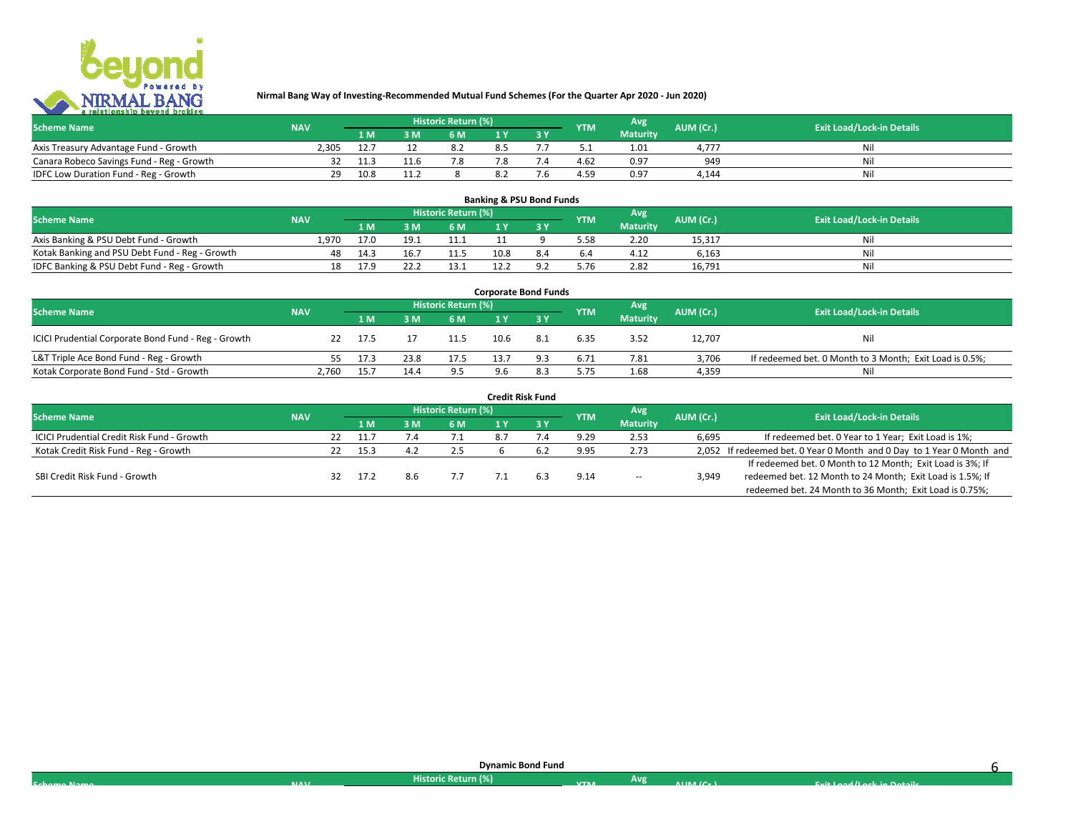

| <b>Scheme Name</b>                        | <b>NAV</b> |      | Historic Return (%) <sup> </sup> |  | <b>YTM</b> | Avg             | AUM (Cr.)  | <b>Exit Load/Lock-in Details</b> |
|-------------------------------------------|------------|------|----------------------------------|--|------------|-----------------|------------|----------------------------------|
|                                           |            | 1 M  | 6 M                              |  |            | <b>Maturity</b> |            |                                  |
| Axis Treasury Advantage Fund - Growth     | 2.305      | 12.7 |                                  |  |            | 1.01            | $4.77^{-}$ |                                  |
| Canara Robeco Savings Fund - Reg - Growth |            | 11.3 | 7.8                              |  | 4.62       | 0.97            | 949        | Nil                              |
| IDFC Low Duration Fund - Reg - Growth     | າດ         | 10.8 |                                  |  | 4.59       | 0.97            | 4.144      | Nil                              |

| <b>Banking &amp; PSU Bond Funds</b>            |            |      |          |                            |      |  |            |                 |           |                                  |  |  |
|------------------------------------------------|------------|------|----------|----------------------------|------|--|------------|-----------------|-----------|----------------------------------|--|--|
| <b>Scheme Name</b>                             | <b>NAV</b> |      |          | <b>Historic Return (%)</b> |      |  | <b>YTM</b> | Avg             | AUM (Cr.) | <b>Exit Load/Lock-in Details</b> |  |  |
|                                                |            | 1 M  | <b>M</b> | 6 M                        |      |  |            | <b>Maturity</b> |           |                                  |  |  |
| Axis Banking & PSU Debt Fund - Growth          | 1.970      | 17.0 | 19.1     | 11.1                       |      |  | 5.58       | 2.20            | 15,317    | Nil                              |  |  |
| Kotak Banking and PSU Debt Fund - Reg - Growth | 48         | 14.3 | 16.7     | 11.5                       | 10.8 |  | 6.4        | 4.12            | 6.163     | Nil                              |  |  |
| IDFC Banking & PSU Debt Fund - Reg - Growth    | 18         | 17.9 | 22.:     | 13.1                       |      |  | 5.76       | 2.82            | 16.791    | Nil                              |  |  |

| <b>Corporate Bond Funds</b>                         |            |      |           |                                  |      |      |            |                 |        |                                                         |  |  |
|-----------------------------------------------------|------------|------|-----------|----------------------------------|------|------|------------|-----------------|--------|---------------------------------------------------------|--|--|
| <b>Scheme Name</b>                                  | <b>NAV</b> | Avg  | AUM (Cr.) | <b>Exit Load/Lock-in Details</b> |      |      |            |                 |        |                                                         |  |  |
|                                                     |            | 1 M  | 3 M       | 6 M                              |      |      | <b>YTM</b> | <b>Maturity</b> |        |                                                         |  |  |
| ICICI Prudential Corporate Bond Fund - Reg - Growth |            | 17.5 |           | 11.5                             | 10.6 | -8.1 | 6.35       | 3.52            | 12,707 | Nil                                                     |  |  |
| L&T Triple Ace Bond Fund - Reg - Growth             |            | 17.3 | 23.8      | 17.5                             |      |      | 6.71       | 7.81            | 3.706  | If redeemed bet. 0 Month to 3 Month; Exit Load is 0.5%; |  |  |
| Kotak Corporate Bond Fund - Std - Growth            | 2.760      | 15.  | 14.4      | 9.5                              | 9.6  |      | 5.75       | 1.68            | 4.359  | Nil                                                     |  |  |

|                                            |            |     |      |                            |    | <b>Credit Risk Fund</b> |            |                 |           |                                                                       |
|--------------------------------------------|------------|-----|------|----------------------------|----|-------------------------|------------|-----------------|-----------|-----------------------------------------------------------------------|
| <b>Scheme Name</b>                         | <b>NAV</b> |     |      | <b>Historic Return (%)</b> |    |                         | <b>YTM</b> | Avg             | AUM (Cr.) | <b>Exit Load/Lock-in Details</b>                                      |
|                                            |            |     | 1 M  | 6 M                        |    | 3Y                      |            | <b>Maturity</b> |           |                                                                       |
| ICICI Prudential Credit Risk Fund - Growth |            | 22. | 11.7 |                            | 85 |                         | 9.29       | 2.53            | 6,695     | If redeemed bet. 0 Year to 1 Year; Exit Load is 1%;                   |
| Kotak Credit Risk Fund - Reg - Growth      |            |     | 15.3 |                            |    |                         | 9.95       | 2.73            |           | 2,052 If redeemed bet. 0 Year 0 Month and 0 Day to 1 Year 0 Month and |
|                                            |            |     |      |                            |    |                         |            |                 |           | If redeemed bet. 0 Month to 12 Month; Exit Load is 3%; If             |
| SBI Credit Risk Fund - Growth              |            |     | 17.2 |                            |    |                         | 9.14       | $- -$           | 3.949     | redeemed bet. 12 Month to 24 Month; Exit Load is 1.5%; If             |
|                                            |            |     |      |                            |    |                         |            |                 |           | redeemed bet. 24 Month to 36 Month; Exit Load is 0.75%;               |

|             |              | <b>Dynamic Bond Fund</b> |            |     |                                         |                            |  |
|-------------|--------------|--------------------------|------------|-----|-----------------------------------------|----------------------------|--|
| Cohomo Namo | <b>NIAVE</b> | Historic Return (%)      | <b>VTM</b> | Avg | $\blacksquare$ in a $I \cap \mathbb{R}$ | Evit Load /Lock in Dotails |  |